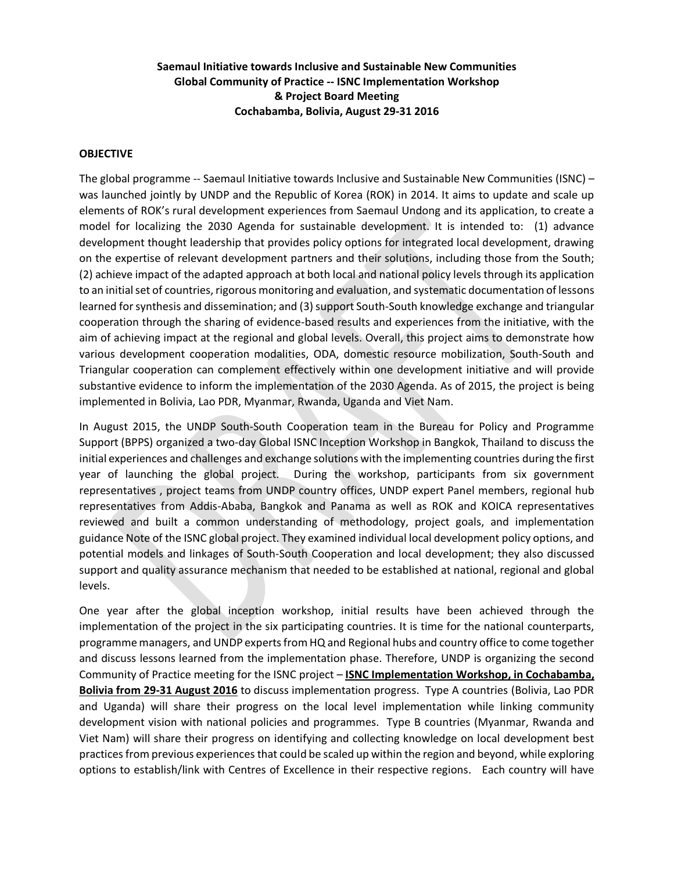### **Saemaul Initiative towards Inclusive and Sustainable New Communities Global Community of Practice -- ISNC Implementation Workshop & Project Board Meeting Cochabamba, Bolivia, August 29-31 2016**

#### **OBJECTIVE**

The global programme -- Saemaul Initiative towards Inclusive and Sustainable New Communities (ISNC) – was launched jointly by UNDP and the Republic of Korea (ROK) in 2014. It aims to update and scale up elements of ROK's rural development experiences from Saemaul Undong and its application, to create a model for localizing the 2030 Agenda for sustainable development. It is intended to: (1) advance development thought leadership that provides policy options for integrated local development, drawing on the expertise of relevant development partners and their solutions, including those from the South; (2) achieve impact of the adapted approach at both local and national policy levels through its application to an initial set of countries, rigorous monitoring and evaluation, and systematic documentation of lessons learned for synthesis and dissemination; and (3) support South-South knowledge exchange and triangular cooperation through the sharing of evidence-based results and experiences from the initiative, with the aim of achieving impact at the regional and global levels. Overall, this project aims to demonstrate how various development cooperation modalities, ODA, domestic resource mobilization, South-South and Triangular cooperation can complement effectively within one development initiative and will provide substantive evidence to inform the implementation of the 2030 Agenda. As of 2015, the project is being implemented in Bolivia, Lao PDR, Myanmar, Rwanda, Uganda and Viet Nam.

In August 2015, the UNDP South-South Cooperation team in the Bureau for Policy and Programme Support (BPPS) organized a two-day Global ISNC Inception Workshop in Bangkok, Thailand to discuss the initial experiences and challenges and exchange solutions with the implementing countries during the first year of launching the global project. During the workshop, participants from six government representatives , project teams from UNDP country offices, UNDP expert Panel members, regional hub representatives from Addis-Ababa, Bangkok and Panama as well as ROK and KOICA representatives reviewed and built a common understanding of methodology, project goals, and implementation guidance Note of the ISNC global project. They examined individual local development policy options, and potential models and linkages of South-South Cooperation and local development; they also discussed support and quality assurance mechanism that needed to be established at national, regional and global levels.

One year after the global inception workshop, initial results have been achieved through the implementation of the project in the six participating countries. It is time for the national counterparts, programme managers, and UNDP experts from HQ and Regional hubs and country office to come together and discuss lessons learned from the implementation phase. Therefore, UNDP is organizing the second Community of Practice meeting for the ISNC project – **ISNC Implementation Workshop, in Cochabamba, Bolivia from 29-31 August 2016** to discuss implementation progress. Type A countries (Bolivia, Lao PDR and Uganda) will share their progress on the local level implementation while linking community development vision with national policies and programmes. Type B countries (Myanmar, Rwanda and Viet Nam) will share their progress on identifying and collecting knowledge on local development best practices from previous experiences that could be scaled up within the region and beyond, while exploring options to establish/link with Centres of Excellence in their respective regions. Each country will have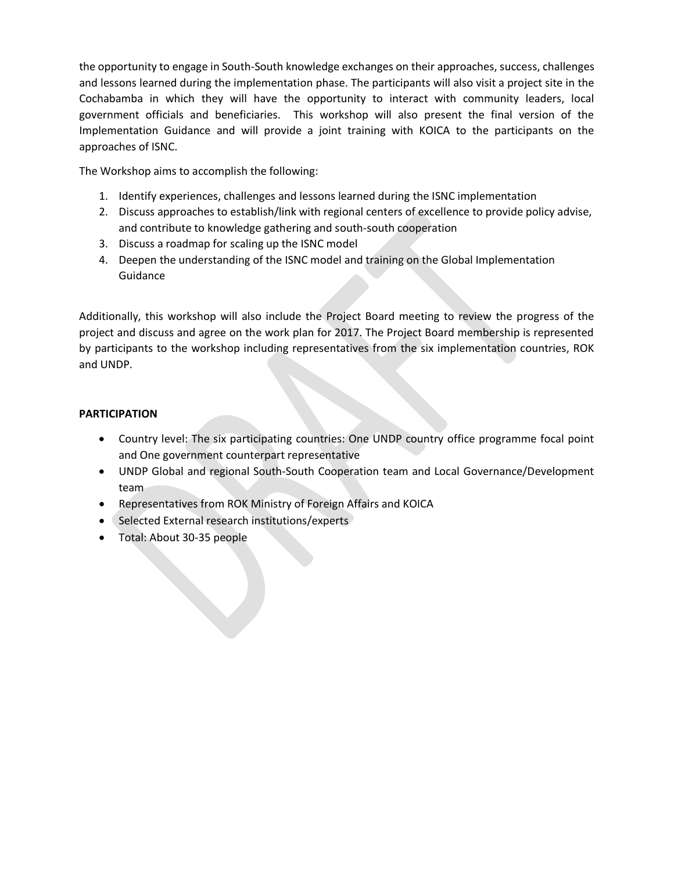the opportunity to engage in South-South knowledge exchanges on their approaches, success, challenges and lessons learned during the implementation phase. The participants will also visit a project site in the Cochabamba in which they will have the opportunity to interact with community leaders, local government officials and beneficiaries. This workshop will also present the final version of the Implementation Guidance and will provide a joint training with KOICA to the participants on the approaches of ISNC.

The Workshop aims to accomplish the following:

- 1. Identify experiences, challenges and lessons learned during the ISNC implementation
- 2. Discuss approaches to establish/link with regional centers of excellence to provide policy advise, and contribute to knowledge gathering and south-south cooperation
- 3. Discuss a roadmap for scaling up the ISNC model
- 4. Deepen the understanding of the ISNC model and training on the Global Implementation Guidance

Additionally, this workshop will also include the Project Board meeting to review the progress of the project and discuss and agree on the work plan for 2017. The Project Board membership is represented by participants to the workshop including representatives from the six implementation countries, ROK and UNDP.

## **PARTICIPATION**

- Country level: The six participating countries: One UNDP country office programme focal point and One government counterpart representative
- UNDP Global and regional South-South Cooperation team and Local Governance/Development team
- Representatives from ROK Ministry of Foreign Affairs and KOICA
- Selected External research institutions/experts
- Total: About 30-35 people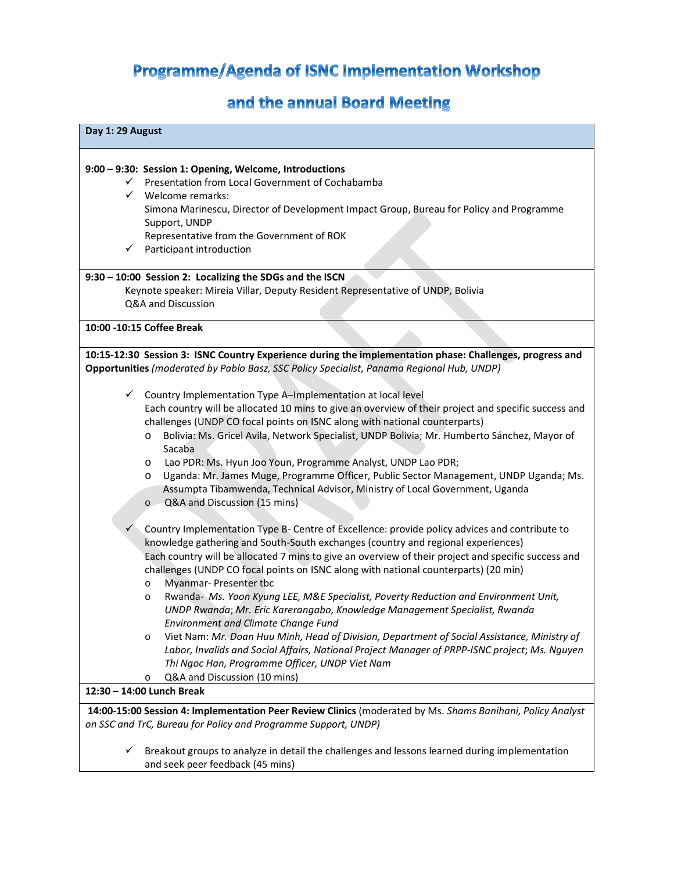# Programme/Agenda of ISNC Implementation Workshop

# and the annual Board Meeting

| Day 1: 29 August                                                                                                                                                                                                                                                                                                                                                                                                                                                                                                                                                                     |  |
|--------------------------------------------------------------------------------------------------------------------------------------------------------------------------------------------------------------------------------------------------------------------------------------------------------------------------------------------------------------------------------------------------------------------------------------------------------------------------------------------------------------------------------------------------------------------------------------|--|
| 9:00 - 9:30: Session 1: Opening, Welcome, Introductions<br>Presentation from Local Government of Cochabamba<br>$\checkmark$<br>$\checkmark$<br>Welcome remarks:<br>Simona Marinescu, Director of Development Impact Group, Bureau for Policy and Programme<br>Support, UNDP<br>Representative from the Government of ROK<br>$\checkmark$<br>Participant introduction                                                                                                                                                                                                                 |  |
| 9:30 - 10:00 Session 2: Localizing the SDGs and the ISCN<br>Keynote speaker: Mireia Villar, Deputy Resident Representative of UNDP, Bolivia<br>Q&A and Discussion                                                                                                                                                                                                                                                                                                                                                                                                                    |  |
| 10:00 -10:15 Coffee Break                                                                                                                                                                                                                                                                                                                                                                                                                                                                                                                                                            |  |
| 10:15-12:30 Session 3: ISNC Country Experience during the implementation phase: Challenges, progress and<br>Opportunities (moderated by Pablo Basz, SSC Policy Specialist, Panama Regional Hub, UNDP)<br>Country Implementation Type A-Implementation at local level<br>$\checkmark$<br>Each country will be allocated 10 mins to give an overview of their project and specific success and<br>challenges (UNDP CO focal points on ISNC along with national counterparts)<br>Bolivia: Ms. Gricel Avila, Network Specialist, UNDP Bolivia; Mr. Humberto Sánchez, Mayor of<br>$\circ$ |  |
| Sacaba<br>Lao PDR: Ms. Hyun Joo Youn, Programme Analyst, UNDP Lao PDR;<br>O<br>Uganda: Mr. James Muge, Programme Officer, Public Sector Management, UNDP Uganda; Ms.<br>O<br>Assumpta Tibamwenda, Technical Advisor, Ministry of Local Government, Uganda<br>Q&A and Discussion (15 mins)<br>$\circ$                                                                                                                                                                                                                                                                                 |  |
| $\checkmark$<br>Country Implementation Type B- Centre of Excellence: provide policy advices and contribute to<br>knowledge gathering and South-South exchanges (country and regional experiences)<br>Each country will be allocated 7 mins to give an overview of their project and specific success and<br>challenges (UNDP CO focal points on ISNC along with national counterparts) (20 min)<br>Myanmar- Presenter tbc<br>$\circ$                                                                                                                                                 |  |
| Rwanda- Ms. Yoon Kyung LEE, M&E Specialist, Poverty Reduction and Environment Unit,<br>$\circ$<br>UNDP Rwanda; Mr. Eric Karerangabo, Knowledge Management Specialist, Rwanda<br><b>Environment and Climate Change Fund</b>                                                                                                                                                                                                                                                                                                                                                           |  |
| Viet Nam: Mr. Doan Huu Minh, Head of Division, Department of Social Assistance, Ministry of<br>$\circ$<br>Labor, Invalids and Social Affairs, National Project Manager of PRPP-ISNC project; Ms. Nguyen<br>Thi Ngoc Han, Programme Officer, UNDP Viet Nam<br>Q&A and Discussion (10 mins)<br>O                                                                                                                                                                                                                                                                                       |  |
| 12:30 - 14:00 Lunch Break                                                                                                                                                                                                                                                                                                                                                                                                                                                                                                                                                            |  |
| 14:00-15:00 Session 4: Implementation Peer Review Clinics (moderated by Ms. Shams Banihani, Policy Analyst<br>on SSC and TrC, Bureau for Policy and Programme Support, UNDP)                                                                                                                                                                                                                                                                                                                                                                                                         |  |
| Breakout groups to analyze in detail the challenges and lessons learned during implementation<br>✓                                                                                                                                                                                                                                                                                                                                                                                                                                                                                   |  |

and seek peer feedback (45 mins)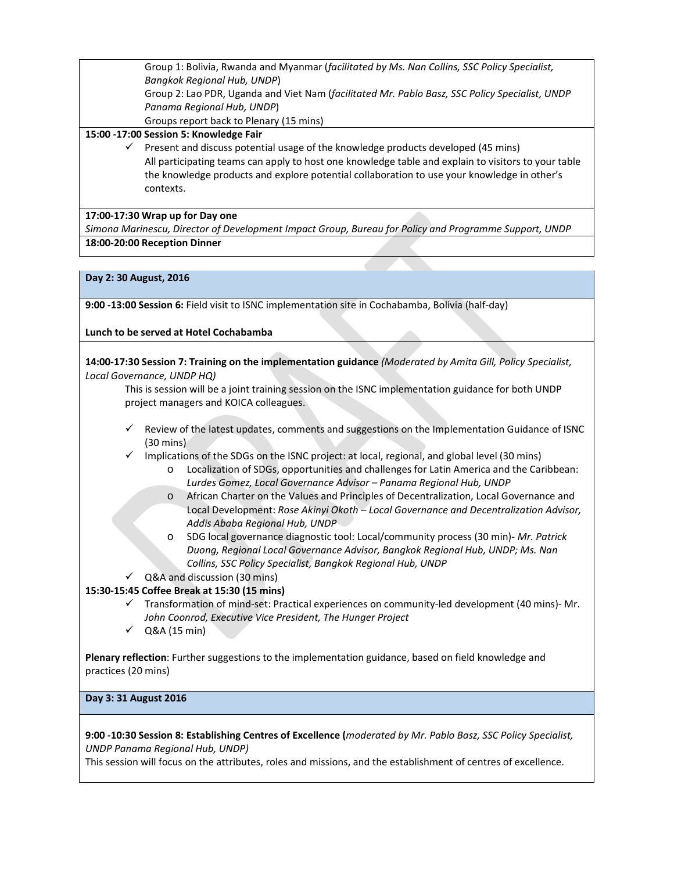Group 1: Bolivia, Rwanda and Myanmar (*facilitated by Ms. Nan Collins, SSC Policy Specialist, Bangkok Regional Hub, UNDP*) Group 2: Lao PDR, Uganda and Viet Nam (*facilitated Mr. Pablo Basz, SSC Policy Specialist, UNDP Panama Regional Hub, UNDP*) Groups report back to Plenary (15 mins)

#### **15:00 -17:00 Session 5: Knowledge Fair**

 $\checkmark$  Present and discuss potential usage of the knowledge products developed (45 mins) All participating teams can apply to host one knowledge table and explain to visitors to your table the knowledge products and explore potential collaboration to use your knowledge in other's contexts.

#### **17:00-17:30 Wrap up for Day one**

*Simona Marinescu, Director of Development Impact Group, Bureau for Policy and Programme Support, UNDP* **18:00-20:00 Reception Dinner**

#### **Day 2: 30 August, 2016**

**9:00 -13:00 Session 6:** Field visit to ISNC implementation site in Cochabamba, Bolivia (half-day)

#### **Lunch to be served at Hotel Cochabamba**

**14:00-17:30 Session 7: Training on the implementation guidance** *(Moderated by Amita Gill, Policy Specialist, Local Governance, UNDP HQ)* 

This is session will be a joint training session on the ISNC implementation guidance for both UNDP project managers and KOICA colleagues.

- Review of the latest updates, comments and suggestions on the Implementation Guidance of ISNC (30 mins)
- $\checkmark$  Implications of the SDGs on the ISNC project: at local, regional, and global level (30 mins)
	- o Localization of SDGs, opportunities and challenges for Latin America and the Caribbean: *Lurdes Gomez, Local Governance Advisor – Panama Regional Hub, UNDP*
	- o African Charter on the Values and Principles of Decentralization, Local Governance and Local Development: *Rose Akinyi Okoth – Local Governance and Decentralization Advisor, Addis Ababa Regional Hub, UNDP*
	- o SDG local governance diagnostic tool: Local/community process (30 min)- *Mr. Patrick Duong, Regional Local Governance Advisor, Bangkok Regional Hub, UNDP; Ms. Nan Collins, SSC Policy Specialist, Bangkok Regional Hub, UNDP*
- $\checkmark$  Q&A and discussion (30 mins)

#### **15:30-15:45 Coffee Break at 15:30 (15 mins)**

- $\checkmark$  Transformation of mind-set: Practical experiences on community-led development (40 mins)- Mr. *John Coonrod, Executive Vice President, The Hunger Project*
- $\checkmark$  Q&A (15 min)

**Plenary reflection**: Further suggestions to the implementation guidance, based on field knowledge and practices (20 mins)

#### **Day 3: 31 August 2016**

**9:00 -10:30 Session 8: Establishing Centres of Excellence (***moderated by Mr. Pablo Basz, SSC Policy Specialist, UNDP Panama Regional Hub, UNDP)*

This session will focus on the attributes, roles and missions, and the establishment of centres of excellence.